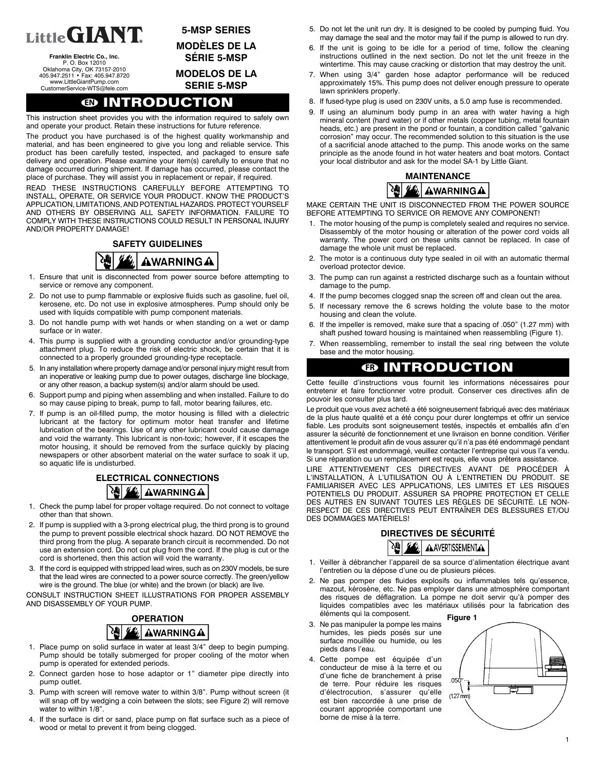

**Franklin Electric Co., Inc.** P. O. Box 12010 Oklahoma City, OK 73157-2010 405.947.2511 · Fax: 405.947.8720 www.LittleGiantPump.com CustomerService-WTS@fele.com

### **5-MSP SERIES MODÈLES DE LA**

**SÉRIE 5-MSP**

## **MODELOS DE LA**

**SERIE 5-MSP**

## **EN INTRODUCTION**

This instruction sheet provides you with the information required to safely own and operate your product. Retain these instructions for future reference.

The product you have purchased is of the highest quality workmanship and material, and has been engineered to give you long and reliable service. This product has been carefully tested, inspected, and packaged to ensure safe delivery and operation. Please examine your item(s) carefully to ensure that no damage occurred during shipment. If damage has occurred, please contact the place of purchase. They will assist you in replacement or repair, if required.

READ THESE INSTRUCTIONS CAREFULLY BEFORE ATTEMPTING TO INSTALL, OPERATE, OR SERVICE YOUR PRODUCT. KNOW THE PRODUCT'S APPLICATION, LIMITATIONS, AND POTENTIAL HAZARDS. PROTECT YOURSELF AND OTHERS BY OBSERVING ALL SAFETY INFORMATION. FAILURE TO COMPLY WITH THESE INSTRUCTIONS COULD RESULT IN PERSONAL INJURY AND/OR PROPERTY DAMAGE!

# **SAFETY GUIDELINES** AWARNINGA

- 1. Ensure that unit is disconnected from power source before attempting to service or remove any component.
- 2. Do not use to pump flammable or explosive fluids such as gasoline, fuel oil, kerosene, etc. Do not use in explosive atmospheres. Pump should only be used with liquids compatible with pump component materials.
- 3. Do not handle pump with wet hands or when standing on a wet or damp surface or in water.
- 4. This pump is supplied with a grounding conductor and/or grounding-type attachment plug. To reduce the risk of electric shock, be certain that it is connected to a properly grounded grounding-type receptacle.
- 5. In any installation where property damage and/or personal injury might result from an inoperative or leaking pump due to power outages, discharge line blockage, or any other reason, a backup system(s) and/or alarm should be used.
- 6. Support pump and piping when assembling and when installed. Failure to do so may cause piping to break, pump to fall, motor bearing failures, etc.
- 7. If pump is an oil-filled pump, the motor housing is filled with a dielectric lubricant at the factory for optimum motor heat transfer and lifetime lubrication of the bearings. Use of any other lubricant could cause damage and void the warranty. This lubricant is non-toxic; however, if it escapes the motor housing, it should be removed from the surface quickly by placing newspapers or other absorbent material on the water surface to soak it up, so aquatic life is undisturbed.

### **ELECTRICAL CONNECTIONS EU AWARNING A**

- 1. Check the pump label for proper voltage required. Do not connect to voltage other than that shown.
- 2. If pump is supplied with a 3-prong electrical plug, the third prong is to ground the pump to prevent possible electrical shock hazard. DO NOT REMOVE the third prong from the plug. A separate branch circuit is recommended. Do not use an extension cord. Do not cut plug from the cord. If the plug is cut or the cord is shortened, then this action will void the warranty.
- 3. If the cord is equipped with stripped lead wires, such as on 230V models, be sure that the lead wires are connected to a power source correctly. The green/yellow wire is the ground. The blue (or white) and the brown (or black) are live.

CONSULT INSTRUCTION SHEET ILLUSTRATIONS FOR PROPER ASSEMBLY AND DISASSEMBLY OF YOUR PUMP.



- 1. Place pump on solid surface in water at least 3/4" deep to begin pumping. Pump should be totally submerged for proper cooling of the motor when pump is operated for extended periods.
- 2. Connect garden hose to hose adaptor or 1" diameter pipe directly into pump outlet.
- 3. Pump with screen will remove water to within 3/8". Pump without screen (it will snap off by wedging a coin between the slots; see Figure 2) will remove water to within 1/8".
- 4. If the surface is dirt or sand, place pump on flat surface such as a piece of wood or metal to prevent it from being clogged.
- 5. Do not let the unit run dry. It is designed to be cooled by pumping fluid. You may damage the seal and the motor may fail if the pump is allowed to run dry.
- 6. If the unit is going to be idle for a period of time, follow the cleaning instructions outlined in the next section. Do not let the unit freeze in the wintertime. This may cause cracking or distortion that may destroy the unit.
- 7. When using 3/4" garden hose adaptor performance will be reduced approximately 15%. This pump does not deliver enough pressure to operate lawn sprinklers properly.
- 8. If fused-type plug is used on 230V units, a 5.0 amp fuse is recommended.
- 9. If using an aluminum body pump in an area with water having a high mineral content (hard water) or if other metals (copper tubing, metal fountain heads, etc.) are present in the pond or fountain, a condition called "galvanic corrosion" may occur. The recommended solution to this situation is the use of a sacrificial anode attached to the pump. This anode works on the same principle as the anode found in hot water heaters and boat motors. Contact your local distributor and ask for the model SA-1 by Little Giant.



MAKE CERTAIN THE UNIT IS DISCONNECTED FROM THE POWER SOURCE BEFORE ATTEMPTING TO SERVICE OR REMOVE ANY COMPONENT!

- 1. The motor housing of the pump is completely sealed and requires no service. Disassembly of the motor housing or alteration of the power cord voids all warranty. The power cord on these units cannot be replaced. In case of damage the whole unit must be replaced.
- 2. The motor is a continuous duty type sealed in oil with an automatic thermal overload protector device.
- 3. The pump can run against a restricted discharge such as a fountain without damage to the pump.
- 4. If the pump becomes clogged snap the screen off and clean out the area.
- 5. If necessary remove the 6 screws holding the volute base to the motor housing and clean the volute.
- 6. If the impeller is removed, make sure that a spacing of .050" (1.27 mm) with shaft pushed toward housing is maintained when reassembling (Figure 1).
- 7. When reassembling, remember to install the seal ring between the volute base and the motor housing.

# **FR INTRODUCTION**

Cette feuille d'instructions vous fournit les informations nécessaires pour entretenir et faire fonctionner votre produit. Conserver ces directives afin de pouvoir les consulter plus tard.

Le produit que vous avez acheté a été soigneusement fabriqué avec des matériaux de la plus haute qualité et a été conçu pour durer longtemps et offrir un service fiable. Les produits sont soigneusement testés, inspectés et emballés afin d'en assurer la sécurité de fonctionnement et une livraison en bonne condition. Vérifier attentivement le produit afin de vous assurer qu'il n'a pas été endommagé pendant le transport. S'il est endommagé, veuillez contacter l'entreprise qui vous l'a vendu. Si une réparation ou un remplacement est requis, elle vous prêtera assistance.

LIRE ATTENTIVEMENT CES DIRECTIVES AVANT DE PROCÉDER À L'INSTALLATION, À L'UTILISATION OU À L'ENTRETIEN DU PRODUIT. SE FAMILIARISER AVEC LES APPLICATIONS, LES LIMITES ET LES RISQUES POTENTIELS DU PRODUIT. ASSURER SA PROPRE PROTECTION ET CELLE DES AUTRES EN SUIVANT TOUTES LES RÈGLES DE SÉCURITÉ. LE NON-RESPECT DE CES DIRECTIVES PEUT ENTRAÎNER DES BLESSURES ET/OU DES DOMMAGES MATÉRIELS!

### **DIRECTIVES DE SÉCURITÉ** A AVERTISSEMENTAL

- 1. Veiller à débrancher l'appareil de sa source d'alimentation électrique avant l'entretien ou la dépose d'une ou de plusieurs piéces.
- 2. Ne pas pomper des fluides explosifs ou inflammables tels qu'essence, mazout, kérosène, etc. Ne pas employer dans une atmosphère comportant des risques de déflagration. La pompe ne doit servir qu'à pomper des liquides compatibles avec les matériaux utilisés pour la fabrication des éléments qui la composent.
- 3. Ne pas manipuler la pompe les mains humides, les pieds posés sur une surface mouillée ou humide, ou les pieds dans l'eau.
- 4. Cette pompe est équipée d'un conducteur de mise à la terre et ou d'une fiche de branchement à prise de terre. Pour réduire les risques d'électrocution, s'assurer qu'elle est bien raccordée à une prise de courant appropriée comportant une borne de mise à la terre.

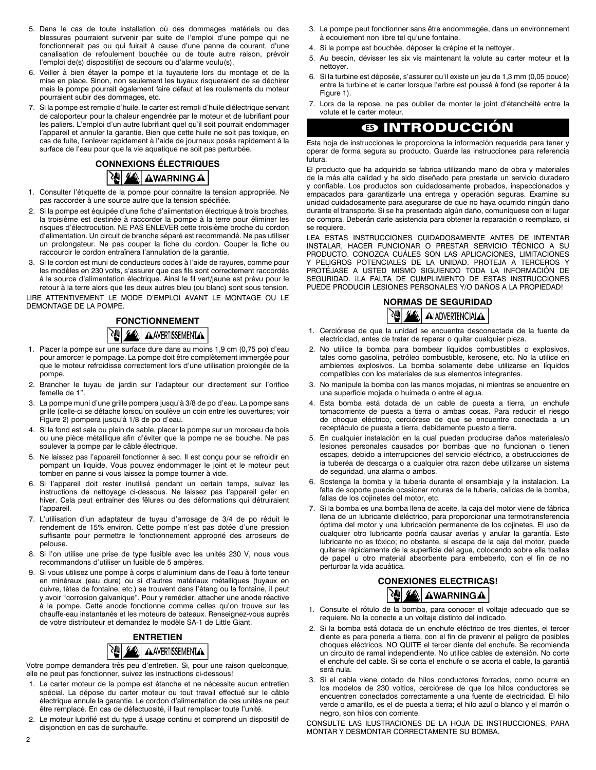- 5. Dans le cas de toute installation où des dommages matériels ou des blessures pourraient survenir par suite de l'emploi d'une pompe qui ne fonctionnerait pas ou qui fuirait à cause d'une panne de courant, d'une canalisation de refoulement bouchée ou de toute autre raison, prévoir l'emploi de(s) dispositif(s) de secours ou d'alarme voulu(s).
- 6. Veiller à bien étayer la pompe et la tuyauterie lors du montage et de la mise en place. Sinon, non seulement les tuyaux risqueraient de se déchirer mais la pompe pourrait également faire défaut et les roulements du moteur pourraient subir des dommages, etc.
- 7. Si la pompe est remplie d'huile. Ie carter est rempli d'huile diélectrique servant de caloporteur pour la chaleur engendrée par le moteur et de lubrifiant pour les paliers. L'emploi d'un autre lubrifiant quel qu'il soit pourrait endommager l'appareil et annuler la garantie. Bien que cette huile ne soit pas toxique, en cas de fuite, I'enlever rapidement à l'aide de journaux posés rapidement à la surface de l'eau pour que la vie aquatique ne soit pas perturbée.

## **CONNEXIONS ÉLECTRIQUES 图丝 AWARNINGA**

- 1. Consulter l'étiquette de la pompe pour connaître la tension appropriée. Ne pas raccorder à une source autre que la tension spécifiée.
- 2. Si la pompe est équipée d'une fiche d'aiimentation électrique à trois broches, la troisième est destinée à raccorder la pompe à la terre pour éliminer les risques d'électrocution. NE PAS ENLEVER cette troisième broche du cordon d'alimentation. Un circuit de branche séparé est recommandé. Ne pas utiliser un prolongateur. Ne pas couper la fiche du cordon. Couper la fiche ou raccourcir le cordon entraînera l'annulation de la garantie.
- 3. Si le cordon est muni de conducteurs codes à l'aide de rayures, comme pour les modèles en 230 volts, s'assurer que ces fils sont correctement raccordés à la source d'alimentation électrique. Ainsi le fil vert/jaune est prévu pour le retour à la terre alors que les deux autres bleu (ou blanc) sont sous tension.

LIRE ATTENTIVEMENT LE MODE D'EMPLOI AVANT LE MONTAGE OU LE DEMONTAGE DE LA POMPE.

## **FONCTIONNEMENT** AAVERTISSEMENTA

- 1. Placer la pompe sur une surface dure dans au moins 1,9 cm (0,75 po) d'eau pour amorcer le pompage. La pompe doit être complètement immergée pour que le moteur refroidisse correctement lors d'une utilisation prolongée de la pompe.
- 2. Brancher le tuyau de jardin sur l'adapteur our directement sur l'orifice femelle de 1".
- 3. La pompe muni d'une grille pompera jusqu'à 3/8 de po d'eau. La pompe sans grille (celle-ci se détache lorsqu'on soulève un coin entre les ouvertures; voir Figure 2) pompera jusqu'à 1/8 de po d'eau.
- 4. Si le fond est sale ou plein de sable, placer la pompe sur un morceau de bois ou une pièce métallique afin d'éviter que la pompe ne se bouche. Ne pas soulever la pompe par le câble électrique.
- 5. Ne laissez pas l'appareil fonctionner à sec. Il est conçu pour se refroidir en pompant un liquide. Vous pouvez endommager le joint et le moteur peut tomber en panne si vous laissez la pompe tourner à vide.
- 6. Si l'appareil doit rester inutilisé pendant un certain temps, suivez les instructions de nettoyage ci-dessous. Ne laissez pas l'appareil geler en hiver. Cela peut entraíner des fêlures ou des déformations qui détruiraient l'appareil.
- 7. L'utilisation d'un adaptateur de tuyau d'arrosage de 3/4 de po réduit le rendement de 15% environ. Cette pompe n'est pas dotée d'une pression suffisante pour permettre le fonctionnement approprié des arroseurs de pelouse.
- 8. Si l'on utilise une prise de type fusible avec les unités 230 V, nous vous recommandons d'utiliser un fusible de 5 ampères.
- 9. Si vous utilisez une pompe à corps d'aluminium dans de l'eau à forte teneur en minéraux (eau dure) ou si d'autres matériaux métalliques (tuyaux en cuivre, têtes de fontaine, etc.) se trouvent dans l'étang ou la fontaine, il peut y avoir "corrosion galvanique". Pour y remédier, attacher une anode réactive à la pompe. Cette anode fonctionne comme celles qu'on trouve sur les chauffe-eau instantanés et les moteurs de bateaux. Renseignez-vous auprès de votre distributeur et demandez le modèle SA-1 de Little Giant.

#### **ENTRETIEN** 堬 **AAVERTISSEMENTAA**

Votre pompe demandera très peu d'entretien. Si, pour une raison quelconque, elle ne peut pas fonctionner, suivez les instructions ci-dessous!

- 1. Le carter moteur de la pompe est étanche et ne nécessite aucun entretien spécial. La dépose du carter moteur ou tout travail effectué sur le câble électrique annule la garantie. Le cordon d'alimentation de ces unités ne peut être remplacé. En cas de défectuosité, il faut remplacer toute l'unité.
- 2. Le moteur lubrifié est du type á usage continu et comprend un dispositif de disjonction en cas de surchauffe.
- 3. La pompe peut fonctionner sans être endommagée, dans un environnement à ecoulement non libre tel qu'une fontaine.
- 4. Si la pompe est bouchée, déposer la crépine et la nettoyer.
- 5. Au besoin, dévisser les six vis maintenant la volute au carter moteur et la nettoyer.
- 6. Si la turbine est déposée, s'assurer qu'il existe un jeu de 1,3 mm (0,05 pouce) entre la turbine et le carter lorsque l'arbre est poussé à fond (se reporter à la Figure 1).
- 7. Lors de la repose, ne pas oublier de monter le joint d'étanchéité entre la volute et le carter moteur.

## **ES INTRODUCCIÓN**

Esta hoja de instrucciones le proporciona la información requerida para tener y operar de forma segura su producto. Guarde las instrucciones para referencia futura.

El producto que ha adquirido se fabrica utilizando mano de obra y materiales de la más alta calidad y ha sido diseñado para prestarle un servicio duradero y confiable. Los productos son cuidadosamente probados, inspeccionados y empacados para garantizarle una entrega y operación seguras. Examine su unidad cuidadosamente para asegurarse de que no haya ocurrido ningún daño durante el transporte. Si se ha presentado algún daño, comuníquese con el lugar de compra. Deberán darle asistencia para obtener la reparación o reemplazo, si se requiere.

LEA ESTAS INSTRUCCIONES CUIDADOSAMENTE ANTES DE INTENTAR INSTALAR, HACER FUNCIONAR O PRESTAR SERVICIO TÉCNICO A SU PRODUCTO. CONOZCA CUÁLES SON LAS APLICACIONES, LIMITACIONES Y PELIGROS POTENCIALES DE LA UNIDAD. PROTEJA A TERCEROS Y PROTÉJASE A USTED MISMO SIGUIENDO TODA LA INFORMACIÓN DE SEGURIDAD. ¡LA FALTA DE CUMPLIMIENTO DE ESTAS INSTRUCCIONES PUEDE PRODUCIR LESIONES PERSONALES Y/O DAÑOS A LA PROPIEDAD!



- 1. Cerciórese de que la unidad se encuentra desconectada de la fuente de electricidad, antes de tratar de reparar o quitar cualquier pieza.
- 2. No utilice la bomba para bombear líquidos combustibles o explosivos, tales como gasolina, petróleo combustible, kerosene, etc. No la utilice en ambientes explosivos. La bomba solamente debe utilizarse en líquidos compatibles con los materiales de sus elementos integrantes.
- 3. No manipule la bomba con las manos mojadas, ni mientras se encuentre en una superficie mojada o huímeda o entre el agua.
- 4. Esta bomba está dotada de un cable de puesta a tierra, un enchufe tomacorriente de puesta a tierra o ambas cosas. Para reducir el riesgo de choque eléctrico, cerciórese de que se encuentre conectada a un receptáculo de puesta a tierra, debidamente puesto a tierra.
- 5. En cualquier instalación en la cual puedan producirse daños materiales/o lesiones personales causados por bombas que no funcionan o tienen escapes, debido a interrupciones del servicio eléctrico, a obstrucciones de ia tuberéa de descarga o a cualquier otra razon debe utilizarse un sistema de seguridad, una alarma o ambos.
- 6. Sostenga la bomba y la tubería durante el ensamblaje y la instalacion. La falta de soporte puede ocasionar roturas de la tubería, caIídas de la bomba, fallas de los cojinetes del motor, etc.
- 7. Si la bomba es una bomba llena de aceite, la caja del motor viene de fábrica llena de un lubricante dieléctrico, para proporcionar una termotransferencia óptima del motor y una lubricación permanente de los cojinetes. El uso de cualquier otro lubricante podría causar averías y anular la garantía. Este lubricante no es tóxico; no obstante, si escapa de la caja del motor, puede quitarse rápidamente de la superficie del agua, colocando sobre ella toallas de papel u otro material absorbente para embeberlo, con el fin de no perturbar la vida acuática.

### **CONEXIONES ELECTRICAS!** AWARNINGA

- 1. Consulte el rótulo de la bomba, para conocer el voltaje adecuado que se requiere. No la conecte a un voltaje distinto del indicado.
- 2. Si la bomba está dotada de un enchufe eléctrico de tres dientes, el tercer diente es para ponerla a tierra, con el fin de prevenir el peligro de posibles choques eléctricos. NO QUITE el tercer diente del enchufe. Se recomienda un circuito de ramal independiente. No utilice cables de extensión. No corte el enchufe del cable. Si se corta el enchufe o se acorta el cable, la garantiá será nula.
- 3. Si el cable viene dotado de hilos conductores forrados, como ocurre en los modelos de 230 voltios, cerciórese de que los hilos conductores se encuentren conectados correctamente a una fuente de electricidad. El hilo verde o amarillo, es el de puesta a tierra; el hilo azul o blanco y el marrón o negro, son hilos con corriente.

CONSULTE LAS ILUSTRACIONES DE LA HOJA DE INSTRUCCIONES, PARA MONTAR Y DESMONTAR CORRECTAMENTE SU BOMBA.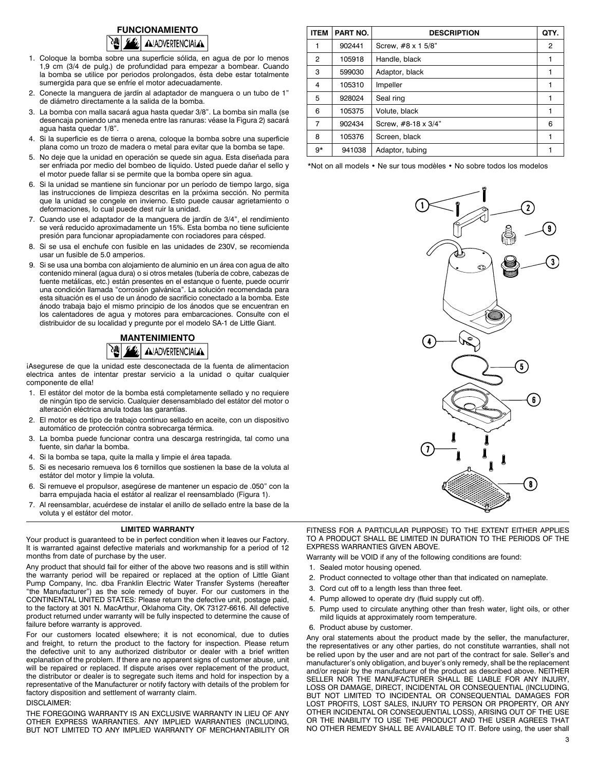

- 1. Coloque la bomba sobre una superficie sólida, en agua de por lo menos 1,9 cm (3/4 de pulg.) de profundidad para empezar a bombear. Cuando la bomba se utilice por periodos prolongados, ésta debe estar totalmente sumergida para que se enfríe el motor adecuadamente.
- 2. Conecte la manguera de jardín al adaptador de manguera o un tubo de 1" de diámetro directamente a la salida de la bomba.
- 3. La bomba con malla sacará agua hasta quedar 3/8". La bomba sin malla (se desencaja poniendo una meneda entre las ranuras: véase la Figura 2) sacará agua hasta quedar 1/8".
- 4. Si la superficie es de tierra o arena, coloque la bomba sobre una superficie plana como un trozo de madera o metal para evitar que la bomba se tape.
- 5. No deje que la unidad en operación se quede sin agua. Esta diseñada para ser enfriada por medio del bombeo de liquido. Usted puede dañar el sello y el motor puede fallar si se permite que la bomba opere sin agua.
- 6. Si la unidad se mantiene sin funcionar por un período de tiempo largo, siga las instrucciones de limpieza descritas en la próxima sección. No permita que la unidad se congele en invierno. Esto puede causar agrietamiento o deformaciones, lo cual puede dest ruir la unidad.
- 7. Cuando use el adaptador de la manguera de jardín de 3/4", el rendimiento se verá reducido aproximadamente un 15%. Esta bomba no tiene suficiente presión para funcionar apropiadamente con rociadores para césped.
- 8. Si se usa el enchufe con fusible en las unidades de 230V, se recomienda usar un fusible de 5.0 amperios.
- 9. Si se usa una bomba con alojamiento de aluminio en un área con agua de alto contenido mineral (agua dura) o si otros metales (tubería de cobre, cabezas de fuente metálicas, etc.) están presentes en el estanque o fuente, puede ocurrir una condición llamada "corrosión galvánica". La solución recomendada para esta situación es el uso de un ánodo de sacrificio conectado a la bomba. Este ánodo trabaja bajo el mismo principio de los ánodos que se encuentran en los calentadores de agua y motores para embarcaciones. Consulte con el distribuidor de su localidad y pregunte por el modelo SA-1 de Little Giant.

## **MANTENIMIENTO AIADVERTENCIALA**

¡Asegurese de que la unidad este desconectada de la fuenta de alimentacion electrica antes de intentar prestar servicio a la unidad o quitar cualquier componente de ella!

- 1. El estátor del motor de la bomba está completamente sellado y no requiere de ningún tipo de servicio. Cualquier desensamblado del estátor del motor o alteración eléctrica anula todas las garantías.
- 2. El motor es de tipo de trabajo continuo sellado en aceite, con un dispositivo automático de protección contra sobrecarga térmica.
- 3. La bomba puede funcionar contra una descarga restringida, tal como una fuente, sin dañar la bomba.
- 4. Si la bomba se tapa, quite la malla y limpie el área tapada.
- 5. Si es necesario remueva los 6 tornillos que sostienen la base de la voluta al estátor del motor y limpie la voluta.
- 6. Si remueve el propulsor, asegúrese de mantener un espacio de .050" con la barra empujada hacia el estátor al realizar el reensamblado (Figura 1).
- 7. Al reensamblar, acuérdese de instalar el anillo de sellado entre la base de la voluta y el estátor del motor.

### **LIMITED WARRANTY**

Your product is guaranteed to be in perfect condition when it leaves our Factory. It is warranted against defective materials and workmanship for a period of 12 months from date of purchase by the user.

Any product that should fail for either of the above two reasons and is still within the warranty period will be repaired or replaced at the option of Little Giant Pump Company, Inc. dba Franklin Electric Water Transfer Systems (hereafter "the Manufacturer") as the sole remedy of buyer. For our customers in the CONTINENTAL UNITED STATES: Please return the defective unit, postage paid, to the factory at 301 N. MacArthur, Oklahoma City, OK 73127-6616. All defective product returned under warranty will be fully inspected to determine the cause of failure before warranty is approved.

For our customers located elsewhere; it is not economical, due to duties and freight, to return the product to the factory for inspection. Please return the defective unit to any authorized distributor or dealer with a brief written explanation of the problem. If there are no apparent signs of customer abuse, unit will be repaired or replaced. If dispute arises over replacement of the product, the distributor or dealer is to segregate such items and hold for inspection by a representative of the Manufacturer or notify factory with details of the problem for factory disposition and settlement of warranty claim.

#### DISCLAIMER:

THE FOREGOING WARRANTY IS AN EXCLUSIVE WARRANTY IN LIEU OF ANY OTHER EXPRESS WARRANTIES. ANY IMPLIED WARRANTIES (INCLUDING, BUT NOT LIMITED TO ANY IMPLIED WARRANTY OF MERCHANTABILITY OR

| <b>ITEM</b>    | PART NO. | <b>DESCRIPTION</b>  | QTY. |
|----------------|----------|---------------------|------|
|                | 902441   | Screw, #8 x 1 5/8"  | 2    |
| $\overline{2}$ | 105918   | Handle, black       |      |
| 3              | 599030   | Adaptor, black      |      |
| 4              | 105310   | Impeller            | 1    |
| 5              | 928024   | Seal ring           |      |
| 6              | 105375   | Volute, black       |      |
| $\overline{7}$ | 902434   | Screw, #8-18 x 3/4" | 6    |
| 8              | 105376   | Screen, black       |      |
| $9*$           | 941038   | Adaptor, tubing     |      |

\*Not on all models • Ne sur tous modèles • No sobre todos los modelos



FITNESS FOR A PARTICULAR PURPOSE) TO THE EXTENT EITHER APPLIES TO A PRODUCT SHALL BE LIMITED IN DURATION TO THE PERIODS OF THE EXPRESS WARRANTIES GIVEN ABOVE.

Warranty will be VOID if any of the following conditions are found:

- 1. Sealed motor housing opened.
- 2. Product connected to voltage other than that indicated on nameplate.
- 3. Cord cut off to a length less than three feet.
- 4. Pump allowed to operate dry (fluid supply cut off).
- 5. Pump used to circulate anything other than fresh water, light oils, or other mild liquids at approximately room temperature.
- 6. Product abuse by customer.

Any oral statements about the product made by the seller, the manufacturer, the representatives or any other parties, do not constitute warranties, shall not be relied upon by the user and are not part of the contract for sale. Seller's and manufacturer's only obligation, and buyer's only remedy, shall be the replacement and/or repair by the manufacturer of the product as described above. NEITHER SELLER NOR THE MANUFACTURER SHALL BE LIABLE FOR ANY INJURY, LOSS OR DAMAGE, DIRECT, INCIDENTAL OR CONSEQUENTIAL (INCLUDING, BUT NOT LIMITED TO INCIDENTAL OR CONSEQUENTIAL DAMAGES FOR LOST PROFITS, LOST SALES, INJURY TO PERSON OR PROPERTY, OR ANY OTHER INCIDENTAL OR CONSEQUENTIAL LOSS), ARISING OUT OF THE USE OR THE INABILITY TO USE THE PRODUCT AND THE USER AGREES THAT NO OTHER REMEDY SHALL BE AVAILABLE TO IT. Before using, the user shall